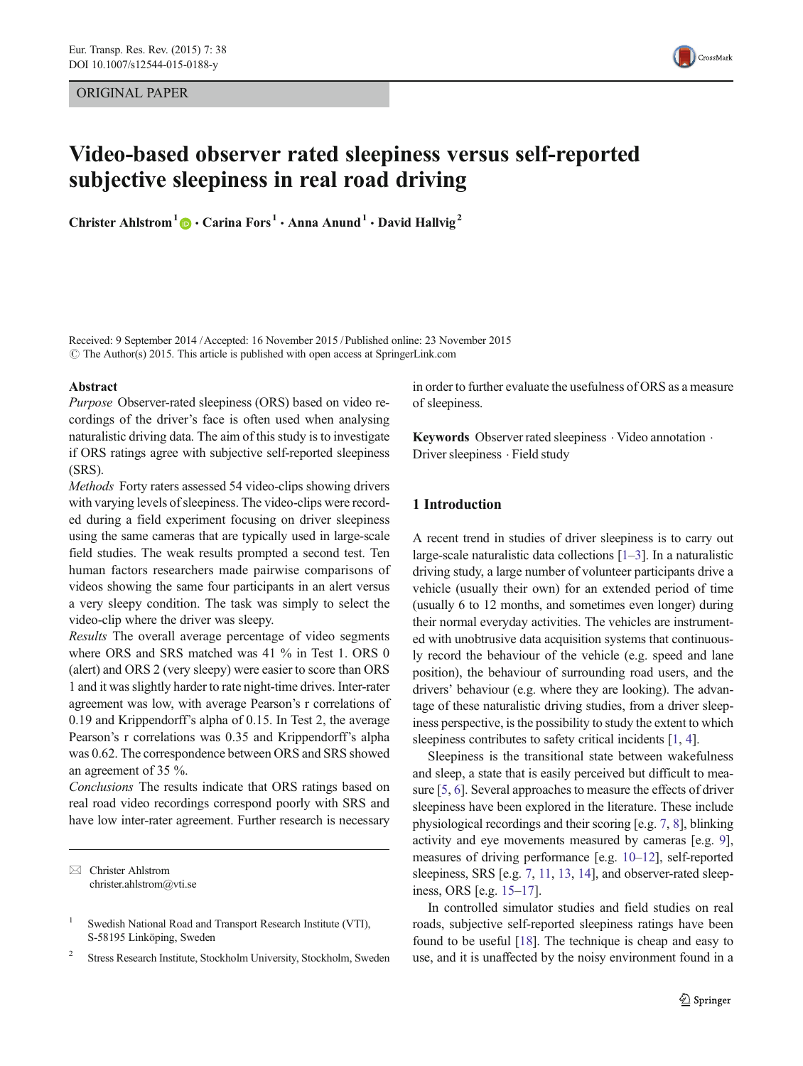ORIGINAL PAPER



# Video-based observer rated sleepiness versus self-reported subjective sleepiness in real road driving

Christer Ahlstrom<sup>1</sup>  $\bullet$  · Carina Fors<sup>1</sup> · Anna Anund<sup>1</sup> · David Hallvig<sup>2</sup>

Received: 9 September 2014 /Accepted: 16 November 2015 / Published online: 23 November 2015  $\odot$  The Author(s) 2015. This article is published with open access at SpringerLink.com

#### Abstract

Purpose Observer-rated sleepiness (ORS) based on video recordings of the driver's face is often used when analysing naturalistic driving data. The aim of this study is to investigate if ORS ratings agree with subjective self-reported sleepiness (SRS).

Methods Forty raters assessed 54 video-clips showing drivers with varying levels of sleepiness. The video-clips were recorded during a field experiment focusing on driver sleepiness using the same cameras that are typically used in large-scale field studies. The weak results prompted a second test. Ten human factors researchers made pairwise comparisons of videos showing the same four participants in an alert versus a very sleepy condition. The task was simply to select the video-clip where the driver was sleepy.

Results The overall average percentage of video segments where ORS and SRS matched was 41 % in Test 1. ORS 0 (alert) and ORS 2 (very sleepy) were easier to score than ORS 1 and it was slightly harder to rate night-time drives. Inter-rater agreement was low, with average Pearson's r correlations of 0.19 and Krippendorff's alpha of 0.15. In Test 2, the average Pearson's r correlations was 0.35 and Krippendorff's alpha was 0.62. The correspondence between ORS and SRS showed an agreement of 35 %.

Conclusions The results indicate that ORS ratings based on real road video recordings correspond poorly with SRS and have low inter-rater agreement. Further research is necessary

 $\boxtimes$  Christer Ahlstrom christer.ahlstrom@vti.se

<sup>2</sup> Stress Research Institute, Stockholm University, Stockholm, Sweden

in order to further evaluate the usefulness of ORS as a measure of sleepiness.

Keywords Observer rated sleepiness  $\cdot$  Video annotation  $\cdot$ Driver sleepiness . Field study

# 1 Introduction

A recent trend in studies of driver sleepiness is to carry out large-scale naturalistic data collections [\[1](#page-7-0)–[3\]](#page-7-0). In a naturalistic driving study, a large number of volunteer participants drive a vehicle (usually their own) for an extended period of time (usually 6 to 12 months, and sometimes even longer) during their normal everyday activities. The vehicles are instrumented with unobtrusive data acquisition systems that continuously record the behaviour of the vehicle (e.g. speed and lane position), the behaviour of surrounding road users, and the drivers' behaviour (e.g. where they are looking). The advantage of these naturalistic driving studies, from a driver sleepiness perspective, is the possibility to study the extent to which sleepiness contributes to safety critical incidents [[1,](#page-7-0) [4\]](#page-7-0).

Sleepiness is the transitional state between wakefulness and sleep, a state that is easily perceived but difficult to measure [\[5](#page-7-0), [6\]](#page-7-0). Several approaches to measure the effects of driver sleepiness have been explored in the literature. These include physiological recordings and their scoring [e.g. [7,](#page-7-0) [8](#page-7-0)], blinking activity and eye movements measured by cameras [e.g. [9\]](#page-7-0), measures of driving performance [e.g. [10](#page-7-0)–[12](#page-7-0)], self-reported sleepiness, SRS [e.g. [7,](#page-7-0) [11](#page-7-0), [13,](#page-8-0) [14\]](#page-8-0), and observer-rated sleepiness, ORS [e.g. [15](#page-8-0)–[17](#page-8-0)].

In controlled simulator studies and field studies on real roads, subjective self-reported sleepiness ratings have been found to be useful [\[18](#page-8-0)]. The technique is cheap and easy to use, and it is unaffected by the noisy environment found in a

<sup>&</sup>lt;sup>1</sup> Swedish National Road and Transport Research Institute (VTI), S-58195 Linköping, Sweden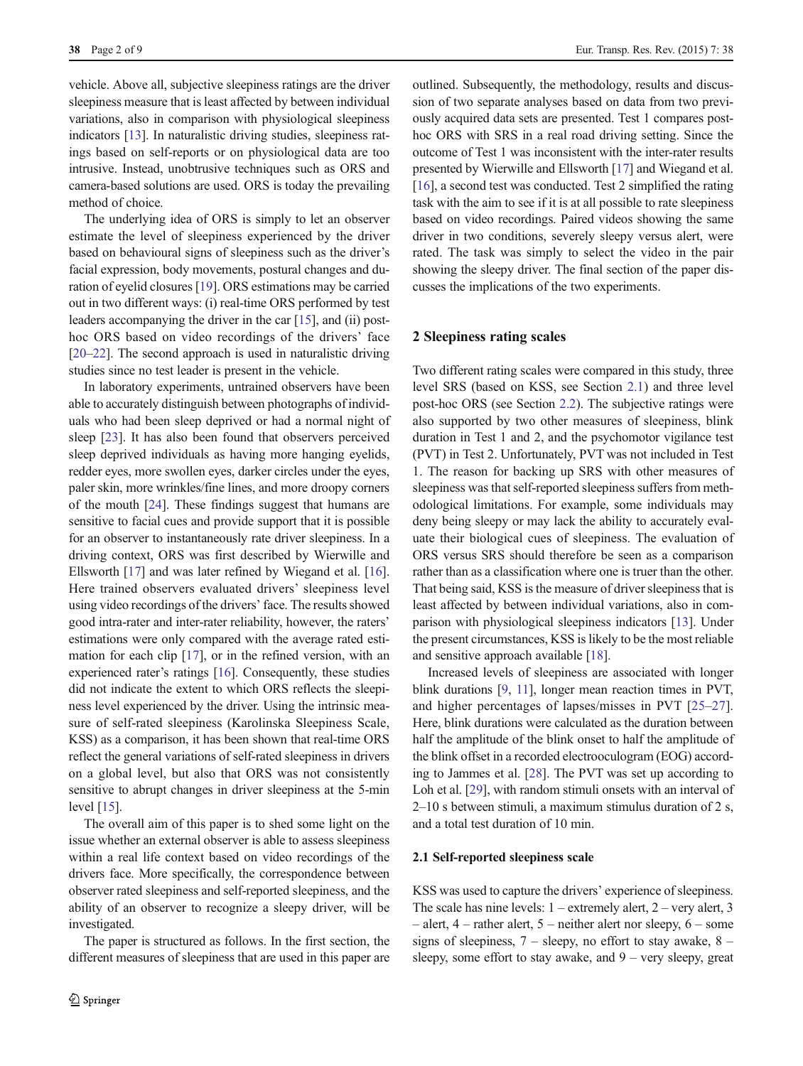vehicle. Above all, subjective sleepiness ratings are the driver sleepiness measure that is least affected by between individual variations, also in comparison with physiological sleepiness indicators [\[13\]](#page-8-0). In naturalistic driving studies, sleepiness ratings based on self-reports or on physiological data are too intrusive. Instead, unobtrusive techniques such as ORS and camera-based solutions are used. ORS is today the prevailing method of choice.

The underlying idea of ORS is simply to let an observer estimate the level of sleepiness experienced by the driver based on behavioural signs of sleepiness such as the driver's facial expression, body movements, postural changes and duration of eyelid closures [\[19\]](#page-8-0). ORS estimations may be carried out in two different ways: (i) real-time ORS performed by test leaders accompanying the driver in the car [\[15](#page-8-0)], and (ii) posthoc ORS based on video recordings of the drivers' face [\[20](#page-8-0)–[22\]](#page-8-0). The second approach is used in naturalistic driving studies since no test leader is present in the vehicle.

In laboratory experiments, untrained observers have been able to accurately distinguish between photographs of individuals who had been sleep deprived or had a normal night of sleep [[23\]](#page-8-0). It has also been found that observers perceived sleep deprived individuals as having more hanging eyelids, redder eyes, more swollen eyes, darker circles under the eyes, paler skin, more wrinkles/fine lines, and more droopy corners of the mouth [\[24](#page-8-0)]. These findings suggest that humans are sensitive to facial cues and provide support that it is possible for an observer to instantaneously rate driver sleepiness. In a driving context, ORS was first described by Wierwille and Ellsworth [[17\]](#page-8-0) and was later refined by Wiegand et al. [[16\]](#page-8-0). Here trained observers evaluated drivers' sleepiness level using video recordings of the drivers' face. The results showed good intra-rater and inter-rater reliability, however, the raters' estimations were only compared with the average rated estimation for each clip [\[17\]](#page-8-0), or in the refined version, with an experienced rater's ratings [[16](#page-8-0)]. Consequently, these studies did not indicate the extent to which ORS reflects the sleepiness level experienced by the driver. Using the intrinsic measure of self-rated sleepiness (Karolinska Sleepiness Scale, KSS) as a comparison, it has been shown that real-time ORS reflect the general variations of self-rated sleepiness in drivers on a global level, but also that ORS was not consistently sensitive to abrupt changes in driver sleepiness at the 5-min level [\[15](#page-8-0)].

The overall aim of this paper is to shed some light on the issue whether an external observer is able to assess sleepiness within a real life context based on video recordings of the drivers face. More specifically, the correspondence between observer rated sleepiness and self-reported sleepiness, and the ability of an observer to recognize a sleepy driver, will be investigated.

The paper is structured as follows. In the first section, the different measures of sleepiness that are used in this paper are outlined. Subsequently, the methodology, results and discussion of two separate analyses based on data from two previously acquired data sets are presented. Test 1 compares posthoc ORS with SRS in a real road driving setting. Since the outcome of Test 1 was inconsistent with the inter-rater results presented by Wierwille and Ellsworth [\[17\]](#page-8-0) and Wiegand et al. [\[16](#page-8-0)], a second test was conducted. Test 2 simplified the rating task with the aim to see if it is at all possible to rate sleepiness based on video recordings. Paired videos showing the same driver in two conditions, severely sleepy versus alert, were rated. The task was simply to select the video in the pair showing the sleepy driver. The final section of the paper discusses the implications of the two experiments.

## 2 Sleepiness rating scales

Two different rating scales were compared in this study, three level SRS (based on KSS, see Section 2.1) and three level post-hoc ORS (see Section [2.2](#page-2-0)). The subjective ratings were also supported by two other measures of sleepiness, blink duration in Test 1 and 2, and the psychomotor vigilance test (PVT) in Test 2. Unfortunately, PVT was not included in Test 1. The reason for backing up SRS with other measures of sleepiness was that self-reported sleepiness suffers from methodological limitations. For example, some individuals may deny being sleepy or may lack the ability to accurately evaluate their biological cues of sleepiness. The evaluation of ORS versus SRS should therefore be seen as a comparison rather than as a classification where one is truer than the other. That being said, KSS is the measure of driver sleepiness that is least affected by between individual variations, also in comparison with physiological sleepiness indicators [\[13\]](#page-8-0). Under the present circumstances, KSS is likely to be the most reliable and sensitive approach available [[18\]](#page-8-0).

Increased levels of sleepiness are associated with longer blink durations [\[9,](#page-7-0) [11](#page-7-0)], longer mean reaction times in PVT, and higher percentages of lapses/misses in PVT [[25](#page-8-0)–[27](#page-8-0)]. Here, blink durations were calculated as the duration between half the amplitude of the blink onset to half the amplitude of the blink offset in a recorded electrooculogram (EOG) according to Jammes et al. [\[28](#page-8-0)]. The PVT was set up according to Loh et al. [\[29](#page-8-0)], with random stimuli onsets with an interval of 2–10 s between stimuli, a maximum stimulus duration of 2 s, and a total test duration of 10 min.

#### 2.1 Self-reported sleepiness scale

KSS was used to capture the drivers' experience of sleepiness. The scale has nine levels:  $1 -$  extremely alert,  $2 -$  very alert, 3 – alert, 4 – rather alert, 5 – neither alert nor sleepy, 6 – some signs of sleepiness,  $7$  – sleepy, no effort to stay awake,  $8$  – sleepy, some effort to stay awake, and  $9 - \text{very}$  sleepy, great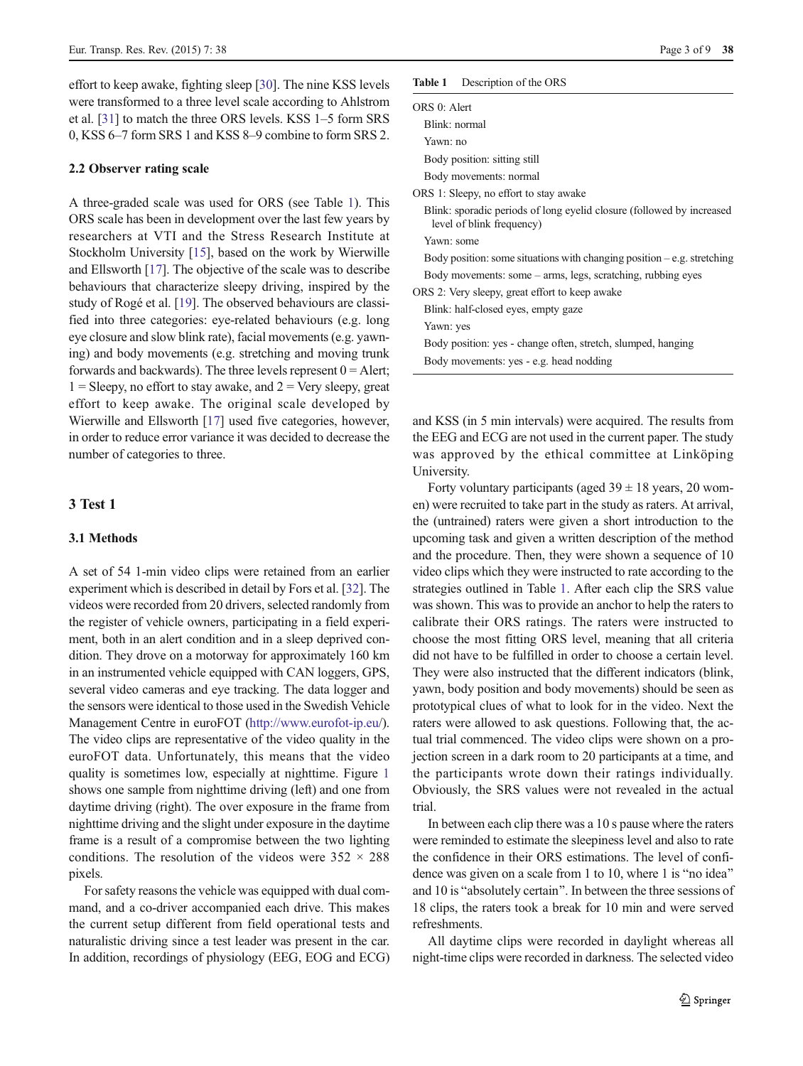<span id="page-2-0"></span>effort to keep awake, fighting sleep [\[30](#page-8-0)]. The nine KSS levels were transformed to a three level scale according to Ahlstrom et al. [[31](#page-8-0)] to match the three ORS levels. KSS 1–5 form SRS 0, KSS 6–7 form SRS 1 and KSS 8–9 combine to form SRS 2.

#### 2.2 Observer rating scale

A three-graded scale was used for ORS (see Table 1). This ORS scale has been in development over the last few years by researchers at VTI and the Stress Research Institute at Stockholm University [\[15](#page-8-0)], based on the work by Wierwille and Ellsworth [\[17](#page-8-0)]. The objective of the scale was to describe behaviours that characterize sleepy driving, inspired by the study of Rogé et al. [[19](#page-8-0)]. The observed behaviours are classified into three categories: eye-related behaviours (e.g. long eye closure and slow blink rate), facial movements (e.g. yawning) and body movements (e.g. stretching and moving trunk forwards and backwards). The three levels represent  $0 =$  Alert;  $1 =$  Sleepy, no effort to stay awake, and  $2 =$  Very sleepy, great effort to keep awake. The original scale developed by Wierwille and Ellsworth [[17](#page-8-0)] used five categories, however, in order to reduce error variance it was decided to decrease the number of categories to three.

## 3 Test 1

# 3.1 Methods

A set of 54 1-min video clips were retained from an earlier experiment which is described in detail by Fors et al. [[32](#page-8-0)]. The videos were recorded from 20 drivers, selected randomly from the register of vehicle owners, participating in a field experiment, both in an alert condition and in a sleep deprived condition. They drove on a motorway for approximately 160 km in an instrumented vehicle equipped with CAN loggers, GPS, several video cameras and eye tracking. The data logger and the sensors were identical to those used in the Swedish Vehicle Management Centre in euroFOT [\(http://www.eurofot-ip.eu/](http://www.eurofot-ip.eu)). The video clips are representative of the video quality in the euroFOT data. Unfortunately, this means that the video quality is sometimes low, especially at nighttime. Figure [1](#page-3-0) shows one sample from nighttime driving (left) and one from daytime driving (right). The over exposure in the frame from nighttime driving and the slight under exposure in the daytime frame is a result of a compromise between the two lighting conditions. The resolution of the videos were  $352 \times 288$ pixels.

For safety reasons the vehicle was equipped with dual command, and a co-driver accompanied each drive. This makes the current setup different from field operational tests and naturalistic driving since a test leader was present in the car. In addition, recordings of physiology (EEG, EOG and ECG)

| Description of the ORS<br>Table 1                                                                  |
|----------------------------------------------------------------------------------------------------|
| ORS 0: Alert                                                                                       |
| Blink: normal                                                                                      |
| Yawn: no                                                                                           |
| Body position: sitting still                                                                       |
| Body movements: normal                                                                             |
| ORS 1: Sleepy, no effort to stay awake                                                             |
| Blink: sporadic periods of long eyelid closure (followed by increased<br>level of blink frequency) |
| Yawn: some                                                                                         |
| Body position: some situations with changing position $-e.g.$ stretching                           |
| Body movements: some – arms, legs, scratching, rubbing eyes                                        |
| ORS 2: Very sleepy, great effort to keep awake                                                     |
| Blink: half-closed eyes, empty gaze                                                                |
| Yawn: yes                                                                                          |
| Body position: yes - change often, stretch, slumped, hanging                                       |
| Body movements: yes - e.g. head nodding                                                            |

and KSS (in 5 min intervals) were acquired. The results from the EEG and ECG are not used in the current paper. The study was approved by the ethical committee at Linköping University.

Forty voluntary participants (aged  $39 \pm 18$  years, 20 women) were recruited to take part in the study as raters. At arrival, the (untrained) raters were given a short introduction to the upcoming task and given a written description of the method and the procedure. Then, they were shown a sequence of 10 video clips which they were instructed to rate according to the strategies outlined in Table 1. After each clip the SRS value was shown. This was to provide an anchor to help the raters to calibrate their ORS ratings. The raters were instructed to choose the most fitting ORS level, meaning that all criteria did not have to be fulfilled in order to choose a certain level. They were also instructed that the different indicators (blink, yawn, body position and body movements) should be seen as prototypical clues of what to look for in the video. Next the raters were allowed to ask questions. Following that, the actual trial commenced. The video clips were shown on a projection screen in a dark room to 20 participants at a time, and the participants wrote down their ratings individually. Obviously, the SRS values were not revealed in the actual trial.

In between each clip there was a 10 s pause where the raters were reminded to estimate the sleepiness level and also to rate the confidence in their ORS estimations. The level of confidence was given on a scale from  $1$  to  $10$ , where  $1$  is "no idea" and 10 is "absolutely certain". In between the three sessions of 18 clips, the raters took a break for 10 min and were served refreshments.

All daytime clips were recorded in daylight whereas all night-time clips were recorded in darkness. The selected video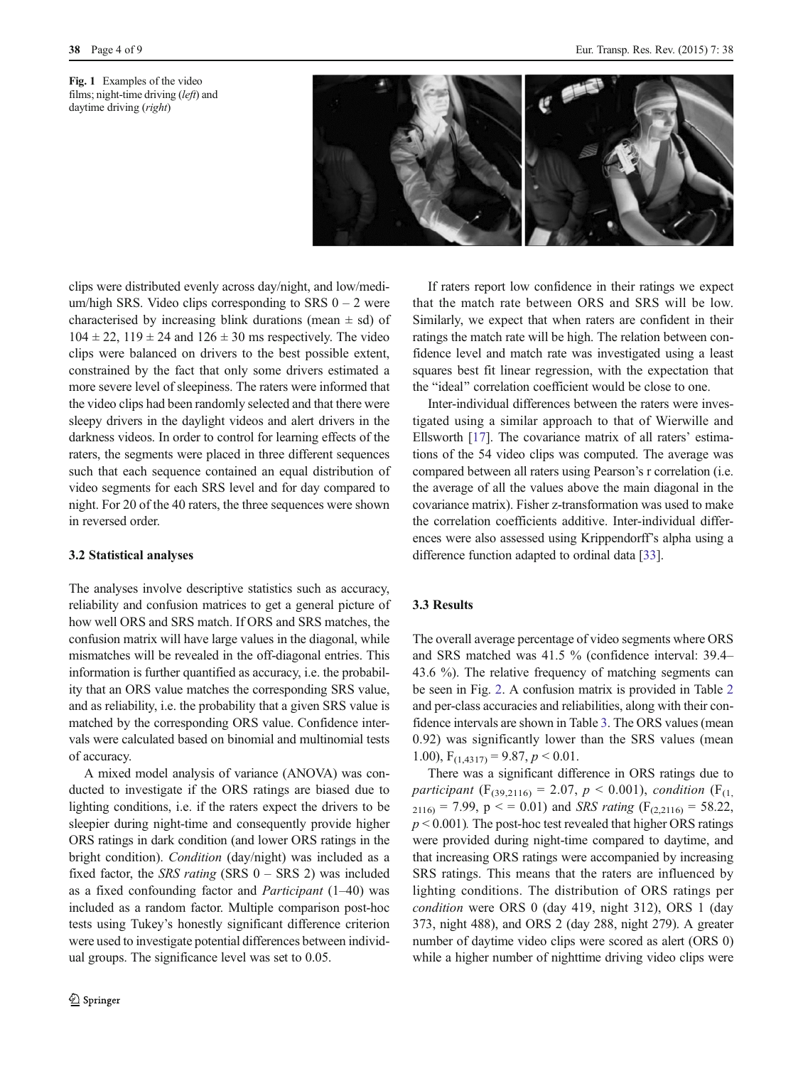<span id="page-3-0"></span>Fig. 1 Examples of the video films; night-time driving (left) and daytime driving (right)



clips were distributed evenly across day/night, and low/medium/high SRS. Video clips corresponding to SRS  $0 - 2$  were characterised by increasing blink durations (mean  $\pm$  sd) of  $104 \pm 22$ ,  $119 \pm 24$  and  $126 \pm 30$  ms respectively. The video clips were balanced on drivers to the best possible extent, constrained by the fact that only some drivers estimated a more severe level of sleepiness. The raters were informed that the video clips had been randomly selected and that there were sleepy drivers in the daylight videos and alert drivers in the darkness videos. In order to control for learning effects of the raters, the segments were placed in three different sequences such that each sequence contained an equal distribution of video segments for each SRS level and for day compared to night. For 20 of the 40 raters, the three sequences were shown in reversed order.

#### 3.2 Statistical analyses

The analyses involve descriptive statistics such as accuracy, reliability and confusion matrices to get a general picture of how well ORS and SRS match. If ORS and SRS matches, the confusion matrix will have large values in the diagonal, while mismatches will be revealed in the off-diagonal entries. This information is further quantified as accuracy, i.e. the probability that an ORS value matches the corresponding SRS value, and as reliability, i.e. the probability that a given SRS value is matched by the corresponding ORS value. Confidence intervals were calculated based on binomial and multinomial tests of accuracy.

A mixed model analysis of variance (ANOVA) was conducted to investigate if the ORS ratings are biased due to lighting conditions, i.e. if the raters expect the drivers to be sleepier during night-time and consequently provide higher ORS ratings in dark condition (and lower ORS ratings in the bright condition). Condition (day/night) was included as a fixed factor, the SRS rating (SRS  $0 -$  SRS 2) was included as a fixed confounding factor and Participant (1–40) was included as a random factor. Multiple comparison post-hoc tests using Tukey's honestly significant difference criterion were used to investigate potential differences between individual groups. The significance level was set to 0.05.

If raters report low confidence in their ratings we expect that the match rate between ORS and SRS will be low. Similarly, we expect that when raters are confident in their ratings the match rate will be high. The relation between confidence level and match rate was investigated using a least squares best fit linear regression, with the expectation that the "ideal" correlation coefficient would be close to one.

Inter-individual differences between the raters were investigated using a similar approach to that of Wierwille and Ellsworth [[17](#page-8-0)]. The covariance matrix of all raters' estimations of the 54 video clips was computed. The average was compared between all raters using Pearson's r correlation (i.e. the average of all the values above the main diagonal in the covariance matrix). Fisher z-transformation was used to make the correlation coefficients additive. Inter-individual differences were also assessed using Krippendorff's alpha using a difference function adapted to ordinal data [\[33\]](#page-8-0).

# 3.3 Results

The overall average percentage of video segments where ORS and SRS matched was 41.5 % (confidence interval: 39.4– 43.6 %). The relative frequency of matching segments can be seen in Fig. [2](#page-4-0). A confusion matrix is provided in Table [2](#page-4-0) and per-class accuracies and reliabilities, along with their confidence intervals are shown in Table [3.](#page-4-0) The ORS values (mean 0.92) was significantly lower than the SRS values (mean 1.00),  $F_{(1,4317)} = 9.87, p \le 0.01$ .

There was a significant difference in ORS ratings due to participant ( $F_{(39,2116)} = 2.07$ ,  $p < 0.001$ ), condition ( $F_{(1)}$ )  $_{2116)}$  = 7.99, p < = 0.01) and SRS rating (F<sub>(2,2116)</sub> = 58.22,  $p < 0.001$ ). The post-hoc test revealed that higher ORS ratings were provided during night-time compared to daytime, and that increasing ORS ratings were accompanied by increasing SRS ratings. This means that the raters are influenced by lighting conditions. The distribution of ORS ratings per condition were ORS 0 (day 419, night 312), ORS 1 (day 373, night 488), and ORS 2 (day 288, night 279). A greater number of daytime video clips were scored as alert (ORS 0) while a higher number of nighttime driving video clips were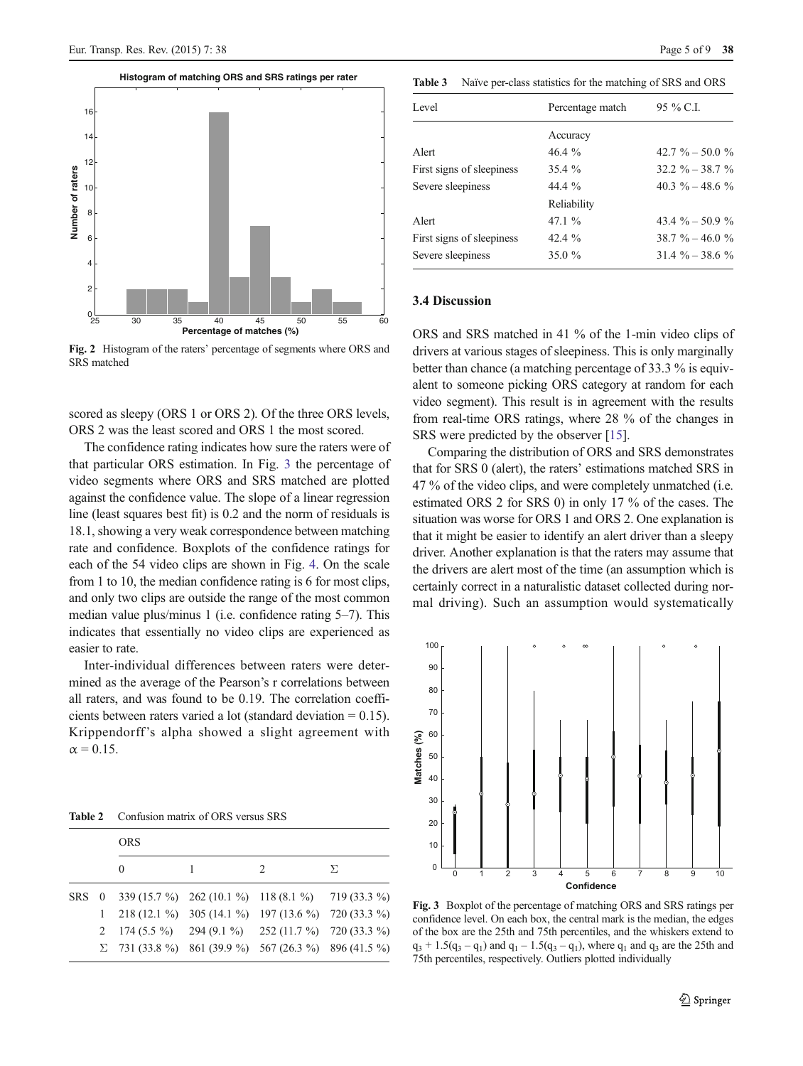<span id="page-4-0"></span>

Table 3 Naïve per-class statistics for the matching of SRS and ORS

| Level                     | Percentage match | 95 % C.I.             |  |
|---------------------------|------------------|-----------------------|--|
|                           | Accuracy         |                       |  |
| Alert                     | 46.4%            | 42.7 % $-$ 50.0 %     |  |
| First signs of sleepiness | $35.4 \%$        | $32.2 \% - 38.7 \%$   |  |
| Severe sleepiness         | $44.4\%$         | 40.3 % $-$ 48.6 %     |  |
|                           | Reliability      |                       |  |
| Alert                     | 47.1 $%$         | 43.4 $\%$ – 50.9 $\%$ |  |
| First signs of sleepiness | $42.4\%$         | 38.7 % $-$ 46.0 %     |  |
| Severe sleepiness         | 35.0%            | $31.4\% - 38.6\%$     |  |

# 3.4 Discussion

Fig. 2 Histogram of the raters' percentage of segments where ORS and SRS matched

scored as sleepy (ORS 1 or ORS 2). Of the three ORS levels, ORS 2 was the least scored and ORS 1 the most scored.

The confidence rating indicates how sure the raters were of that particular ORS estimation. In Fig. 3 the percentage of video segments where ORS and SRS matched are plotted against the confidence value. The slope of a linear regression line (least squares best fit) is 0.2 and the norm of residuals is 18.1, showing a very weak correspondence between matching rate and confidence. Boxplots of the confidence ratings for each of the 54 video clips are shown in Fig. [4](#page-5-0). On the scale from 1 to 10, the median confidence rating is 6 for most clips, and only two clips are outside the range of the most common median value plus/minus 1 (i.e. confidence rating 5–7). This indicates that essentially no video clips are experienced as easier to rate.

Inter-individual differences between raters were determined as the average of the Pearson's r correlations between all raters, and was found to be 0.19. The correlation coefficients between raters varied a lot (standard deviation = 0.15). Krippendorff's alpha showed a slight agreement with  $\alpha = 0.15$ .

Table 2 Confusion matrix of ORS versus SRS

|  | <b>ORS</b>                                                                                                   |                                                     |                               |    |  |
|--|--------------------------------------------------------------------------------------------------------------|-----------------------------------------------------|-------------------------------|----|--|
|  | $\theta$                                                                                                     |                                                     | $\mathfrak{D}_{\mathfrak{p}}$ | Σ. |  |
|  | SRS $\begin{bmatrix} 0 & 339 & (15.7 \%) & 262 & (10.1 \%) & 118 & (8.1 \%) & 719 & (33.3 \%) \end{bmatrix}$ |                                                     |                               |    |  |
|  |                                                                                                              | 218 (12.1 %) 305 (14.1 %) 197 (13.6 %) 720 (33.3 %) |                               |    |  |
|  | 2 174 (5.5 %) 294 (9.1 %) 252 (11.7 %) 720 (33.3 %)                                                          |                                                     |                               |    |  |
|  | $\Sigma$ 731 (33.8 %) 861 (39.9 %) 567 (26.3 %) 896 (41.5 %)                                                 |                                                     |                               |    |  |

ORS and SRS matched in 41 % of the 1-min video clips of drivers at various stages of sleepiness. This is only marginally better than chance (a matching percentage of 33.3 % is equivalent to someone picking ORS category at random for each video segment). This result is in agreement with the results from real-time ORS ratings, where 28 % of the changes in SRS were predicted by the observer [\[15\]](#page-8-0).

Comparing the distribution of ORS and SRS demonstrates that for SRS 0 (alert), the raters' estimations matched SRS in 47 % of the video clips, and were completely unmatched (i.e. estimated ORS 2 for SRS 0) in only 17 % of the cases. The situation was worse for ORS 1 and ORS 2. One explanation is that it might be easier to identify an alert driver than a sleepy driver. Another explanation is that the raters may assume that the drivers are alert most of the time (an assumption which is certainly correct in a naturalistic dataset collected during normal driving). Such an assumption would systematically



Fig. 3 Boxplot of the percentage of matching ORS and SRS ratings per confidence level. On each box, the central mark is the median, the edges of the box are the 25th and 75th percentiles, and the whiskers extend to  $q_3 + 1.5(q_3 - q_1)$  and  $q_1 - 1.5(q_3 - q_1)$ , where  $q_1$  and  $q_3$  are the 25th and 75th percentiles, respectively. Outliers plotted individually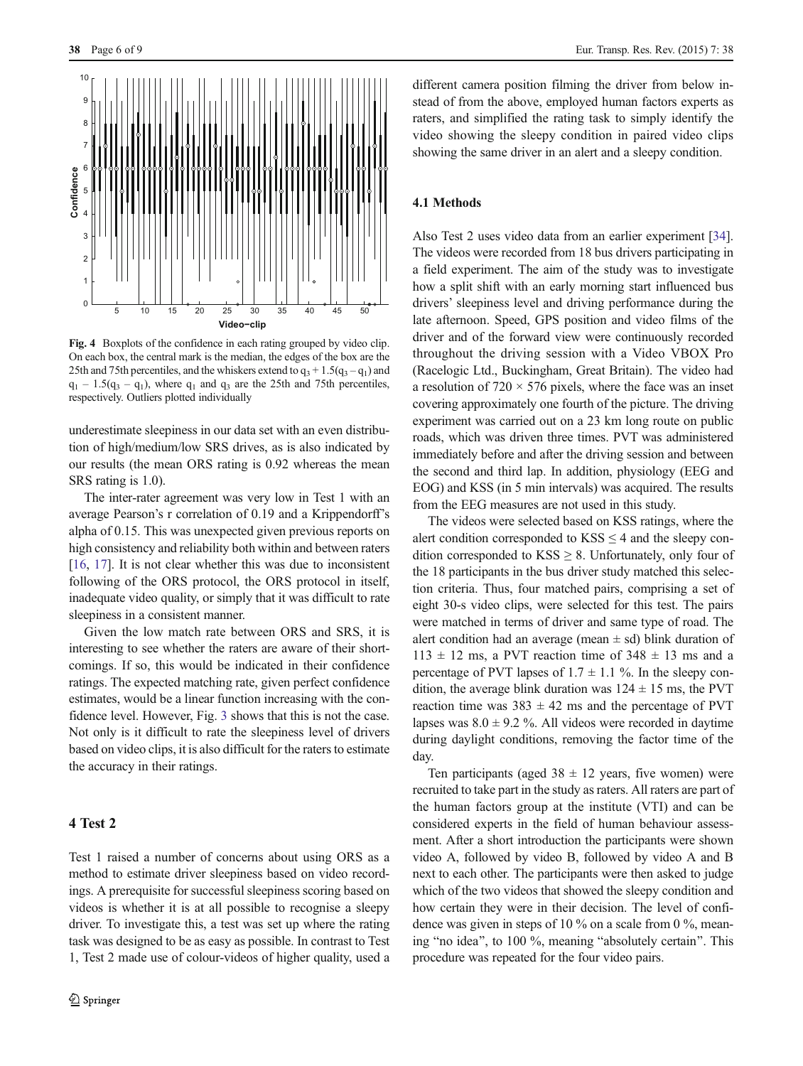<span id="page-5-0"></span>

Fig. 4 Boxplots of the confidence in each rating grouped by video clip. On each box, the central mark is the median, the edges of the box are the 25th and 75th percentiles, and the whiskers extend to  $q_3 + 1.5(q_3 - q_1)$  and  $q_1$  – 1.5( $q_3$  –  $q_1$ ), where  $q_1$  and  $q_3$  are the 25th and 75th percentiles, respectively. Outliers plotted individually

underestimate sleepiness in our data set with an even distribution of high/medium/low SRS drives, as is also indicated by our results (the mean ORS rating is 0.92 whereas the mean SRS rating is 1.0).

The inter-rater agreement was very low in Test 1 with an average Pearson's r correlation of 0.19 and a Krippendorff's alpha of 0.15. This was unexpected given previous reports on high consistency and reliability both within and between raters [\[16,](#page-8-0) [17](#page-8-0)]. It is not clear whether this was due to inconsistent following of the ORS protocol, the ORS protocol in itself, inadequate video quality, or simply that it was difficult to rate sleepiness in a consistent manner.

Given the low match rate between ORS and SRS, it is interesting to see whether the raters are aware of their shortcomings. If so, this would be indicated in their confidence ratings. The expected matching rate, given perfect confidence estimates, would be a linear function increasing with the confidence level. However, Fig. [3](#page-4-0) shows that this is not the case. Not only is it difficult to rate the sleepiness level of drivers based on video clips, it is also difficult for the raters to estimate the accuracy in their ratings.

# 4 Test 2

Test 1 raised a number of concerns about using ORS as a method to estimate driver sleepiness based on video recordings. A prerequisite for successful sleepiness scoring based on videos is whether it is at all possible to recognise a sleepy driver. To investigate this, a test was set up where the rating task was designed to be as easy as possible. In contrast to Test 1, Test 2 made use of colour-videos of higher quality, used a

different camera position filming the driver from below instead of from the above, employed human factors experts as raters, and simplified the rating task to simply identify the video showing the sleepy condition in paired video clips showing the same driver in an alert and a sleepy condition.

## 4.1 Methods

Also Test 2 uses video data from an earlier experiment [[34\]](#page-8-0). The videos were recorded from 18 bus drivers participating in a field experiment. The aim of the study was to investigate how a split shift with an early morning start influenced bus drivers' sleepiness level and driving performance during the late afternoon. Speed, GPS position and video films of the driver and of the forward view were continuously recorded throughout the driving session with a Video VBOX Pro (Racelogic Ltd., Buckingham, Great Britain). The video had a resolution of  $720 \times 576$  pixels, where the face was an inset covering approximately one fourth of the picture. The driving experiment was carried out on a 23 km long route on public roads, which was driven three times. PVT was administered immediately before and after the driving session and between the second and third lap. In addition, physiology (EEG and EOG) and KSS (in 5 min intervals) was acquired. The results from the EEG measures are not used in this study.

The videos were selected based on KSS ratings, where the alert condition corresponded to  $KSS \leq 4$  and the sleepy condition corresponded to  $KSS \geq 8$ . Unfortunately, only four of the 18 participants in the bus driver study matched this selection criteria. Thus, four matched pairs, comprising a set of eight 30-s video clips, were selected for this test. The pairs were matched in terms of driver and same type of road. The alert condition had an average (mean  $\pm$  sd) blink duration of  $113 \pm 12$  ms, a PVT reaction time of  $348 \pm 13$  ms and a percentage of PVT lapses of  $1.7 \pm 1.1$  %. In the sleepy condition, the average blink duration was  $124 \pm 15$  ms, the PVT reaction time was  $383 \pm 42$  ms and the percentage of PVT lapses was  $8.0 \pm 9.2$  %. All videos were recorded in daytime during daylight conditions, removing the factor time of the day.

Ten participants (aged  $38 \pm 12$  years, five women) were recruited to take part in the study as raters. All raters are part of the human factors group at the institute (VTI) and can be considered experts in the field of human behaviour assessment. After a short introduction the participants were shown video A, followed by video B, followed by video A and B next to each other. The participants were then asked to judge which of the two videos that showed the sleepy condition and how certain they were in their decision. The level of confidence was given in steps of 10 % on a scale from 0 %, meaning "no idea", to 100 %, meaning "absolutely certain". This procedure was repeated for the four video pairs.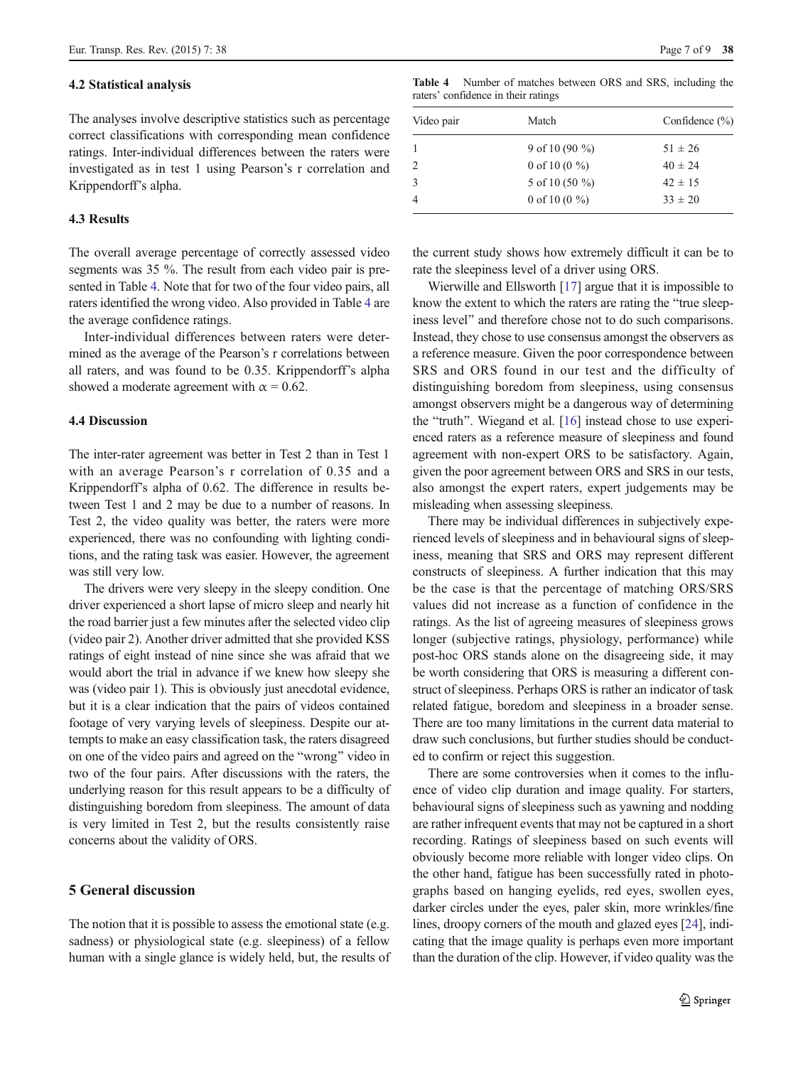#### 4.2 Statistical analysis

The analyses involve descriptive statistics such as percentage correct classifications with corresponding mean confidence ratings. Inter-individual differences between the raters were investigated as in test 1 using Pearson's r correlation and Krippendorff's alpha.

# 4.3 Results

The overall average percentage of correctly assessed video segments was 35 %. The result from each video pair is presented in Table 4. Note that for two of the four video pairs, all raters identified the wrong video. Also provided in Table 4 are the average confidence ratings.

Inter-individual differences between raters were determined as the average of the Pearson's r correlations between all raters, and was found to be 0.35. Krippendorff's alpha showed a moderate agreement with  $\alpha = 0.62$ .

## 4.4 Discussion

The inter-rater agreement was better in Test 2 than in Test 1 with an average Pearson's r correlation of 0.35 and a Krippendorff's alpha of 0.62. The difference in results between Test 1 and 2 may be due to a number of reasons. In Test 2, the video quality was better, the raters were more experienced, there was no confounding with lighting conditions, and the rating task was easier. However, the agreement was still very low.

The drivers were very sleepy in the sleepy condition. One driver experienced a short lapse of micro sleep and nearly hit the road barrier just a few minutes after the selected video clip (video pair 2). Another driver admitted that she provided KSS ratings of eight instead of nine since she was afraid that we would abort the trial in advance if we knew how sleepy she was (video pair 1). This is obviously just anecdotal evidence, but it is a clear indication that the pairs of videos contained footage of very varying levels of sleepiness. Despite our attempts to make an easy classification task, the raters disagreed on one of the video pairs and agreed on the "wrong" video in two of the four pairs. After discussions with the raters, the underlying reason for this result appears to be a difficulty of distinguishing boredom from sleepiness. The amount of data is very limited in Test 2, but the results consistently raise concerns about the validity of ORS.

# 5 General discussion

The notion that it is possible to assess the emotional state (e.g. sadness) or physiological state (e.g. sleepiness) of a fellow human with a single glance is widely held, but, the results of

Table 4 Number of matches between ORS and SRS, including the raters' confidence in their ratings

| Video pair     | Match              | Confidence $(\% )$ |
|----------------|--------------------|--------------------|
|                | 9 of 10 (90 $\%$ ) | $51 \pm 26$        |
| 2              | 0 of 10 (0 $\%$ )  | $40 \pm 24$        |
| 3              | 5 of 10 $(50 \%)$  | $42 \pm 15$        |
| $\overline{4}$ | 0 of 10 (0 $\%$ )  | $33 \pm 20$        |

the current study shows how extremely difficult it can be to rate the sleepiness level of a driver using ORS.

Wierwille and Ellsworth [\[17](#page-8-0)] argue that it is impossible to know the extent to which the raters are rating the "true sleepiness level" and therefore chose not to do such comparisons. Instead, they chose to use consensus amongst the observers as a reference measure. Given the poor correspondence between SRS and ORS found in our test and the difficulty of distinguishing boredom from sleepiness, using consensus amongst observers might be a dangerous way of determining the "truth". Wiegand et al.  $[16]$  instead chose to use experienced raters as a reference measure of sleepiness and found agreement with non-expert ORS to be satisfactory. Again, given the poor agreement between ORS and SRS in our tests, also amongst the expert raters, expert judgements may be misleading when assessing sleepiness.

There may be individual differences in subjectively experienced levels of sleepiness and in behavioural signs of sleepiness, meaning that SRS and ORS may represent different constructs of sleepiness. A further indication that this may be the case is that the percentage of matching ORS/SRS values did not increase as a function of confidence in the ratings. As the list of agreeing measures of sleepiness grows longer (subjective ratings, physiology, performance) while post-hoc ORS stands alone on the disagreeing side, it may be worth considering that ORS is measuring a different construct of sleepiness. Perhaps ORS is rather an indicator of task related fatigue, boredom and sleepiness in a broader sense. There are too many limitations in the current data material to draw such conclusions, but further studies should be conducted to confirm or reject this suggestion.

There are some controversies when it comes to the influence of video clip duration and image quality. For starters, behavioural signs of sleepiness such as yawning and nodding are rather infrequent events that may not be captured in a short recording. Ratings of sleepiness based on such events will obviously become more reliable with longer video clips. On the other hand, fatigue has been successfully rated in photographs based on hanging eyelids, red eyes, swollen eyes, darker circles under the eyes, paler skin, more wrinkles/fine lines, droopy corners of the mouth and glazed eyes [\[24](#page-8-0)], indicating that the image quality is perhaps even more important than the duration of the clip. However, if video quality was the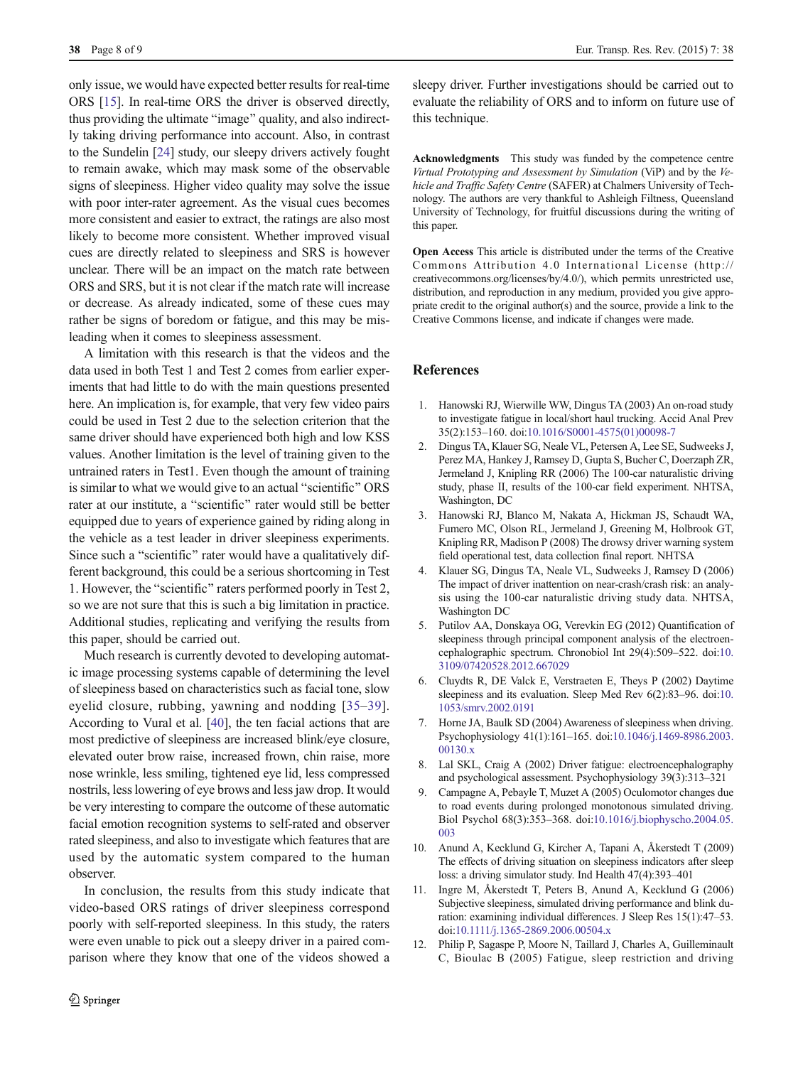<span id="page-7-0"></span>only issue, we would have expected better results for real-time ORS [[15\]](#page-8-0). In real-time ORS the driver is observed directly, thus providing the ultimate "image" quality, and also indirectly taking driving performance into account. Also, in contrast to the Sundelin [\[24](#page-8-0)] study, our sleepy drivers actively fought to remain awake, which may mask some of the observable signs of sleepiness. Higher video quality may solve the issue with poor inter-rater agreement. As the visual cues becomes more consistent and easier to extract, the ratings are also most likely to become more consistent. Whether improved visual cues are directly related to sleepiness and SRS is however unclear. There will be an impact on the match rate between ORS and SRS, but it is not clear if the match rate will increase or decrease. As already indicated, some of these cues may rather be signs of boredom or fatigue, and this may be misleading when it comes to sleepiness assessment.

A limitation with this research is that the videos and the data used in both Test 1 and Test 2 comes from earlier experiments that had little to do with the main questions presented here. An implication is, for example, that very few video pairs could be used in Test 2 due to the selection criterion that the same driver should have experienced both high and low KSS values. Another limitation is the level of training given to the untrained raters in Test1. Even though the amount of training is similar to what we would give to an actual "scientific" ORS rater at our institute, a "scientific" rater would still be better equipped due to years of experience gained by riding along in the vehicle as a test leader in driver sleepiness experiments. Since such a "scientific" rater would have a qualitatively different background, this could be a serious shortcoming in Test 1. However, the "scientific" raters performed poorly in Test 2, so we are not sure that this is such a big limitation in practice. Additional studies, replicating and verifying the results from this paper, should be carried out.

Much research is currently devoted to developing automatic image processing systems capable of determining the level of sleepiness based on characteristics such as facial tone, slow eyelid closure, rubbing, yawning and nodding [[35](#page-8-0)–[39](#page-8-0)]. According to Vural et al. [\[40](#page-8-0)], the ten facial actions that are most predictive of sleepiness are increased blink/eye closure, elevated outer brow raise, increased frown, chin raise, more nose wrinkle, less smiling, tightened eye lid, less compressed nostrils, less lowering of eye brows and less jaw drop. It would be very interesting to compare the outcome of these automatic facial emotion recognition systems to self-rated and observer rated sleepiness, and also to investigate which features that are used by the automatic system compared to the human observer.

In conclusion, the results from this study indicate that video-based ORS ratings of driver sleepiness correspond poorly with self-reported sleepiness. In this study, the raters were even unable to pick out a sleepy driver in a paired comparison where they know that one of the videos showed a

sleepy driver. Further investigations should be carried out to evaluate the reliability of ORS and to inform on future use of this technique.

Acknowledgments This study was funded by the competence centre Virtual Prototyping and Assessment by Simulation (ViP) and by the Vehicle and Traffic Safety Centre (SAFER) at Chalmers University of Technology. The authors are very thankful to Ashleigh Filtness, Queensland University of Technology, for fruitful discussions during the writing of this paper.

Open Access This article is distributed under the terms of the Creative Commons Attribution 4.0 International License (http:// creativecommons.org/licenses/by/4.0/), which permits unrestricted use, distribution, and reproduction in any medium, provided you give appropriate credit to the original author(s) and the source, provide a link to the Creative Commons license, and indicate if changes were made.

### **References**

- 1. Hanowski RJ, Wierwille WW, Dingus TA (2003) An on-road study to investigate fatigue in local/short haul trucking. Accid Anal Prev 35(2):153–160. doi[:10.1016/S0001-4575\(01\)00098-7](http://dx.doi.org/10.1016/S0001-4575(01)00098-7)
- 2. Dingus TA, Klauer SG, Neale VL, Petersen A, Lee SE, Sudweeks J, Perez MA, Hankey J, Ramsey D, Gupta S, Bucher C, Doerzaph ZR, Jermeland J, Knipling RR (2006) The 100-car naturalistic driving study, phase II, results of the 100-car field experiment. NHTSA, Washington, DC
- 3. Hanowski RJ, Blanco M, Nakata A, Hickman JS, Schaudt WA, Fumero MC, Olson RL, Jermeland J, Greening M, Holbrook GT, Knipling RR, Madison P (2008) The drowsy driver warning system field operational test, data collection final report. NHTSA
- 4. Klauer SG, Dingus TA, Neale VL, Sudweeks J, Ramsey D (2006) The impact of driver inattention on near-crash/crash risk: an analysis using the 100-car naturalistic driving study data. NHTSA, Washington DC
- 5. Putilov AA, Donskaya OG, Verevkin EG (2012) Quantification of sleepiness through principal component analysis of the electroencephalographic spectrum. Chronobiol Int 29(4):509–522. doi:[10.](http://dx.doi.org/10.3109/07420528.2012.667029) [3109/07420528.2012.667029](http://dx.doi.org/10.3109/07420528.2012.667029)
- 6. Cluydts R, DE Valck E, Verstraeten E, Theys P (2002) Daytime sleepiness and its evaluation. Sleep Med Rev 6(2):83–96. doi[:10.](http://dx.doi.org/10.1053/smrv.2002.0191) [1053/smrv.2002.0191](http://dx.doi.org/10.1053/smrv.2002.0191)
- 7. Horne JA, Baulk SD (2004) Awareness of sleepiness when driving. Psychophysiology 41(1):161–165. doi:[10.1046/j.1469-8986.2003.](http://dx.doi.org/10.1046/j.1469-8986.2003.00130.x) [00130.x](http://dx.doi.org/10.1046/j.1469-8986.2003.00130.x)
- 8. Lal SKL, Craig A (2002) Driver fatigue: electroencephalography and psychological assessment. Psychophysiology 39(3):313–321
- 9. Campagne A, Pebayle T, Muzet A (2005) Oculomotor changes due to road events during prolonged monotonous simulated driving. Biol Psychol 68(3):353–368. doi[:10.1016/j.biophyscho.2004.05.](http://dx.doi.org/10.1016/j.biophyscho.2004.05.003) [003](http://dx.doi.org/10.1016/j.biophyscho.2004.05.003)
- 10. Anund A, Kecklund G, Kircher A, Tapani A, Åkerstedt T (2009) The effects of driving situation on sleepiness indicators after sleep loss: a driving simulator study. Ind Health 47(4):393–401
- 11. Ingre M, Åkerstedt T, Peters B, Anund A, Kecklund G (2006) Subjective sleepiness, simulated driving performance and blink duration: examining individual differences. J Sleep Res 15(1):47–53. doi[:10.1111/j.1365-2869.2006.00504.x](http://dx.doi.org/10.1111/j.1365-2869.2006.00504.x)
- 12. Philip P, Sagaspe P, Moore N, Taillard J, Charles A, Guilleminault C, Bioulac B (2005) Fatigue, sleep restriction and driving